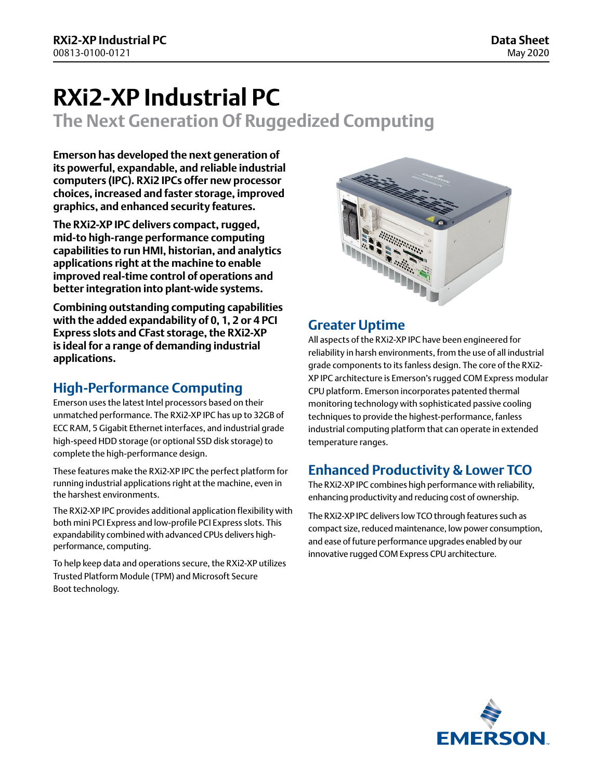# **RXi2-XP Industrial PC**

**The Next Generation Of Ruggedized Computing**

**Emerson has developed the next generation of its powerful, expandable, and reliable industrial computers (IPC). RXi2 IPCs offer new processor choices, increased and faster storage, improved graphics, and enhanced security features.**

**The RXi2-XP IPC delivers compact, rugged, mid-to high-range performance computing capabilities to run HMI, historian, and analytics applications right at the machine to enable improved real-time control of operations and better integration into plant-wide systems.**

**Combining outstanding computing capabilities with the added expandability of 0, 1, 2 or 4 PCI Express slots and CFast storage, the RXi2-XP is ideal for a range of demanding industrial applications.**

# **High-Performance Computing**

Emerson uses the latest Intel processors based on their unmatched performance. The RXi2-XP IPC has up to 32GB of ECC RAM, 5 Gigabit Ethernet interfaces, and industrial grade high-speed HDD storage (or optional SSD disk storage) to complete the high-performance design.

These features make the RXi2-XP IPC the perfect platform for running industrial applications right at the machine, even in the harshest environments.

The RXi2-XP IPC provides additional application flexibility with both mini PCI Express and low-profile PCI Express slots. This expandability combined with advanced CPUs delivers highperformance, computing.

To help keep data and operations secure, the RXi2-XP utilizes Trusted Platform Module (TPM) and Microsoft Secure Boot technology.



# **Greater Uptime**

All aspects of the RXi2-XP IPC have been engineered for reliability in harsh environments, from the use of all industrial grade components to its fanless design. The core of the RXi2- XP IPC architecture is Emerson's rugged COM Express modular CPU platform. Emerson incorporates patented thermal monitoring technology with sophisticated passive cooling techniques to provide the highest-performance, fanless industrial computing platform that can operate in extended temperature ranges.

# **Enhanced Productivity & Lower TCO**

The RXi2-XP IPC combines high performance with reliability, enhancing productivity and reducing cost of ownership.

The RXi2-XP IPC delivers low TCO through features such as compact size, reduced maintenance, low power consumption, and ease of future performance upgrades enabled by our innovative rugged COM Express CPU architecture.

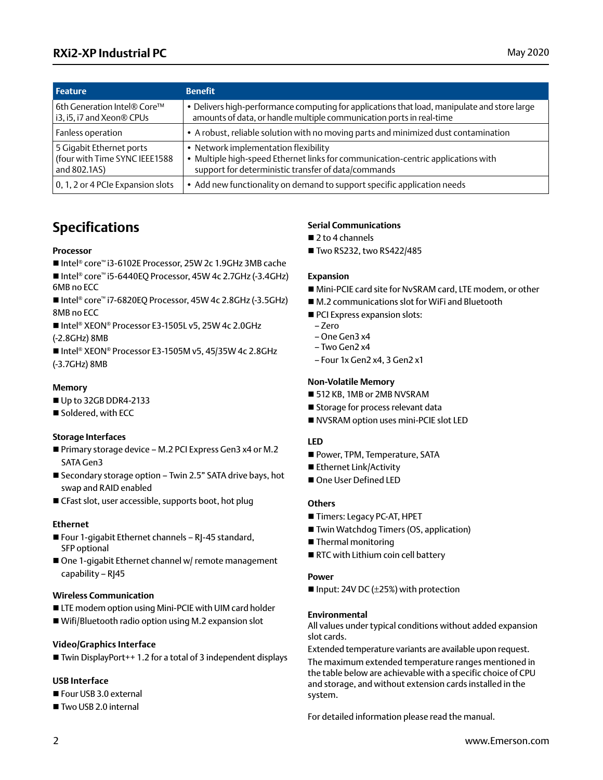# **RXi2-XP Industrial PC** May 2020

| <b>Feature</b>                                                            | <b>Benefit</b>                                                                                                                                                                |
|---------------------------------------------------------------------------|-------------------------------------------------------------------------------------------------------------------------------------------------------------------------------|
| 6th Generation Intel® Core™<br>i3, i5, i7 and Xeon® CPUs                  | . Delivers high-performance computing for applications that load, manipulate and store large<br>amounts of data, or handle multiple communication ports in real-time          |
| Fanless operation                                                         | • A robust, reliable solution with no moving parts and minimized dust contamination                                                                                           |
| 5 Gigabit Ethernet ports<br>(four with Time SYNC IEEE1588<br>and 802.1AS) | • Network implementation flexibility<br>Multiple high-speed Ethernet links for communication-centric applications with<br>support for deterministic transfer of data/commands |
| 0, 1, 2 or 4 PCIe Expansion slots                                         | • Add new functionality on demand to support specific application needs                                                                                                       |

# **Specifications**

#### **Processor**

- Intel® core™ i3-6102E Processor, 25W 2c 1.9GHz 3MB cache
- Intel® core™ i5-6440EQ Processor, 45W 4c 2.7GHz (-3.4GHz) 6MB no ECC
- Intel® core™ i7-6820EQ Processor, 45W 4c 2.8GHz (-3.5GHz) 8MB no ECC
- Intel® XEON® Processor E3-1505L v5, 25W 4c 2.0GHz (-2.8GHz) 8MB
- Intel® XEON® Processor E3-1505M v5, 45/35W 4c 2.8GHz (-3.7GHz) 8MB

### **Memory**

- Up to 32GB DDR4-2133
- Soldered, with ECC

### **Storage Interfaces**

- Primary storage device M.2 PCI Express Gen3 x4 or M.2 SATA Gen3
- Secondary storage option Twin 2.5" SATA drive bays, hot swap and RAID enabled
- $\blacksquare$  CFast slot, user accessible, supports boot, hot plug

### **Ethernet**

- $\blacksquare$  Four 1-gigabit Ethernet channels RJ-45 standard, SFP optional
- $\blacksquare$  One 1-gigabit Ethernet channel w/ remote management capability – RJ45

### **Wireless Communication**

- LTE modem option using Mini-PCIE with UIM card holder
- $\blacksquare$  Wifi/Bluetooth radio option using M.2 expansion slot

### **Video/Graphics Interface**

 $\blacksquare$  Twin DisplayPort + 1.2 for a total of 3 independent displays

# **USB Interface**

- Four USB 3.0 external
- Two USB 2.0 internal

# **Serial Communications**

- $\blacksquare$  2 to 4 channels
- Two RS232, two RS422/485

### **Expansion**

- Mini-PCIE card site for NvSRAM card, LTE modem, or other
- M.2 communications slot for WiFi and Bluetooth
- PCI Express expansion slots:
- Zero
- One Gen3 x4
- $-$  Two Gen2  $x4$
- Four 1x Gen2 x4, 3 Gen2 x1

### **Non-Volatile Memory**

- 512 KB, 1MB or 2MB NVSRAM
- Storage for process relevant data
- NVSRAM option uses mini-PCIE slot LED

### **LED**

- Power, TPM, Temperature, SATA
- Ethernet Link/Activity
- One User Defined LED

# **Others**

- Timers: Legacy PC-AT, HPET
- Twin Watchdog Timers (OS, application)
- $\blacksquare$  Thermal monitoring
- RTC with Lithium coin cell battery

### **Power**

Input: 24V DC ( $\pm$ 25%) with protection

### **Environmental**

All values under typical conditions without added expansion slot cards.

Extended temperature variants are available upon request.

The maximum extended temperature ranges mentioned in the table below are achievable with a specific choice of CPU and storage, and without extension cards installed in the system.

For detailed information please read the manual.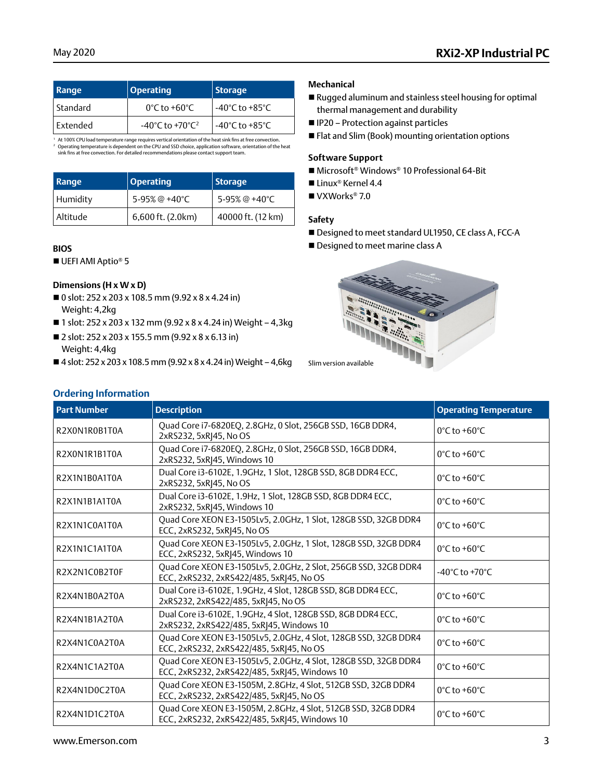# May 2020 **RXi2-XP Industrial PC**

| Range           | <b>Operating</b>                                | <b>Storage</b>                     |  |
|-----------------|-------------------------------------------------|------------------------------------|--|
| Standard        | $0^{\circ}$ C to +60 $^{\circ}$ C               | -40°C to +85°C                     |  |
| <b>Fxtended</b> | $-40^{\circ}$ C to $+70^{\circ}$ C <sup>2</sup> | $-40^{\circ}$ C to $+85^{\circ}$ C |  |

' At 100% CPU load temperature range requires vertical orientation of the heat sink fins at free convection.<br>∂ Operating temperature is dependent on the CPU and SSD choice, application software, orientation of the heat<br>≤

| Range    | <b>Operating</b>  | <b>Storage</b>    |  |
|----------|-------------------|-------------------|--|
| Humidity | 5-95% @ +40°C     | 5-95% @ +40°C     |  |
| Altitude | 6,600 ft. (2.0km) | 40000 ft. (12 km) |  |

### **BIOS**

 $\blacksquare$  UEFI AMI Aptio® 5

# **Dimensions (H x W x D)**

**Ordering Information**

- 0 slot: 252 x 203 x 108.5 mm (9.92 x 8 x 4.24 in) Weight: 4,2kg
- 1 slot: 252 x 203 x 132 mm (9.92 x 8 x 4.24 in) Weight 4,3 kg
- 2 slot: 252 x 203 x 155.5 mm (9.92 x 8 x 6.13 in) Weight: 4,4kg
- $\blacksquare$  4 slot: 252 x 203 x 108.5 mm (9.92 x 8 x 4.24 in) Weight 4,6kg Slim version available

### **Mechanical**

- n Rugged aluminum and stainless steel housing for optimal thermal management and durability
- IP20 Protection against particles
- Flat and Slim (Book) mounting orientation options

#### **Software Support**

- Microsoft<sup>®</sup> Windows<sup>®</sup> 10 Professional 64-Bit
- Linux<sup>®</sup> Kernel 4.4
- $\blacksquare$  VXWorks® 7.0

#### **Safety**

- Designed to meet standard UL1950, CE class A, FCC-A
- Designed to meet marine class A



| <b>Part Number</b> | <b>Description</b>                                                                                               | <b>Operating Temperature</b>      |
|--------------------|------------------------------------------------------------------------------------------------------------------|-----------------------------------|
| R2X0N1R0B1T0A      | Quad Core i7-6820EQ, 2.8GHz, 0 Slot, 256GB SSD, 16GB DDR4,<br>2xRS232, 5xRJ45, No OS                             | $0^{\circ}$ C to +60 $^{\circ}$ C |
| R2X0N1R1B1T0A      | Quad Core i7-6820EQ, 2.8GHz, 0 Slot, 256GB SSD, 16GB DDR4,<br>2xRS232, 5xRI45, Windows 10                        | $0^{\circ}$ C to +60 $^{\circ}$ C |
| R2X1N1B0A1T0A      | Dual Core i3-6102E, 1.9GHz, 1 Slot, 128GB SSD, 8GB DDR4 ECC,<br>2xRS232, 5xRJ45, No OS                           | $0^{\circ}$ C to +60 $^{\circ}$ C |
| R2X1N1B1A1T0A      | Dual Core i3-6102E, 1.9Hz, 1 Slot, 128GB SSD, 8GB DDR4 ECC,<br>2xRS232, 5xRJ45, Windows 10                       | $0^{\circ}$ C to +60 $^{\circ}$ C |
| R2X1N1C0A1T0A      | Quad Core XEON E3-1505Lv5, 2.0GHz, 1 Slot, 128GB SSD, 32GB DDR4<br>ECC, 2xRS232, 5xRJ45, No OS                   | $0^{\circ}$ C to +60 $^{\circ}$ C |
| R2X1N1C1A1T0A      | Quad Core XEON E3-1505Lv5, 2.0GHz, 1 Slot, 128GB SSD, 32GB DDR4<br>ECC, 2xRS232, 5xR 45, Windows 10              | $0^{\circ}$ C to +60 $^{\circ}$ C |
| R2X2N1C0B2T0F      | Quad Core XEON E3-1505Lv5, 2.0GHz, 2 Slot, 256GB SSD, 32GB DDR4<br>ECC, 2xRS232, 2xRS422/485, 5xRJ45, No OS      | -40°C to +70°C                    |
| R2X4N1B0A2T0A      | Dual Core i3-6102E, 1.9GHz, 4 Slot, 128GB SSD, 8GB DDR4 ECC,<br>2xRS232, 2xRS422/485, 5xRJ45, No OS              | $0^{\circ}$ C to +60 $^{\circ}$ C |
| R2X4N1B1A2T0A      | Dual Core i3-6102E, 1.9GHz, 4 Slot, 128GB SSD, 8GB DDR4 ECC,<br>2xRS232, 2xRS422/485, 5xRJ45, Windows 10         | $0^{\circ}$ C to +60 $^{\circ}$ C |
| R2X4N1C0A2T0A      | Quad Core XEON E3-1505Lv5, 2.0GHz, 4 Slot, 128GB SSD, 32GB DDR4<br>ECC, 2xRS232, 2xRS422/485, 5xRJ45, No OS      | $0^{\circ}$ C to +60 $^{\circ}$ C |
| R2X4N1C1A2T0A      | Quad Core XEON E3-1505Lv5, 2.0GHz, 4 Slot, 128GB SSD, 32GB DDR4<br>ECC, 2xRS232, 2xRS422/485, 5xRJ45, Windows 10 | $0^{\circ}$ C to +60 $^{\circ}$ C |
| R2X4N1D0C2T0A      | Quad Core XEON E3-1505M, 2.8GHz, 4 Slot, 512GB SSD, 32GB DDR4<br>ECC, 2xRS232, 2xRS422/485, 5xRJ45, No OS        | 0°C to +60°C                      |
| R2X4N1D1C2T0A      | Quad Core XEON E3-1505M, 2.8GHz, 4 Slot, 512GB SSD, 32GB DDR4<br>ECC, 2xRS232, 2xRS422/485, 5xRJ45, Windows 10   | $0^{\circ}$ C to +60 $^{\circ}$ C |